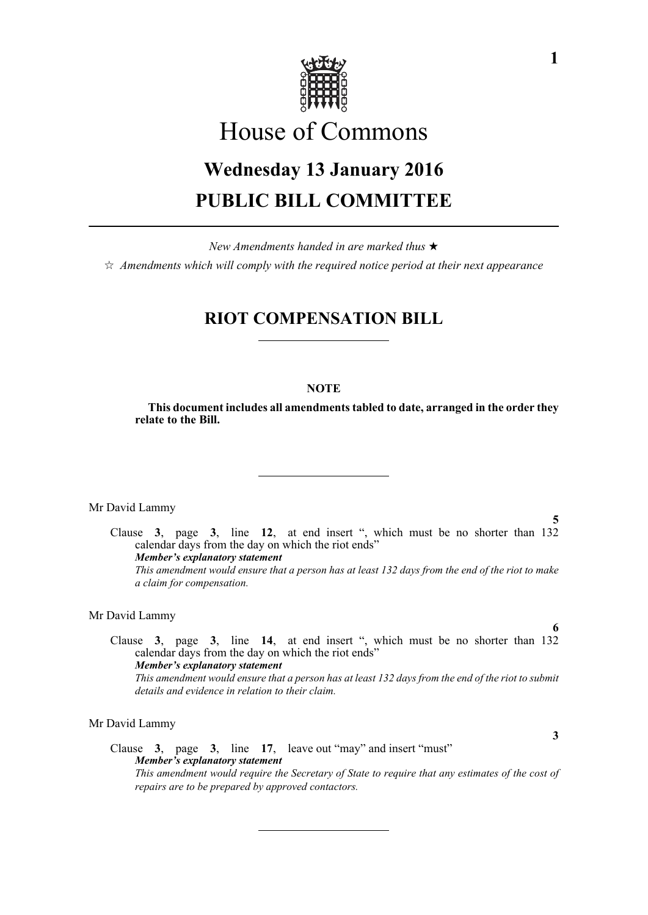

# House of Commons

# **Wednesday 13 January 2016 PUBLIC BILL COMMITTEE**

*New Amendments handed in are marked thus*   $\hat{\varphi}$  Amendments which will comply with the required notice period at their next appearance

# **RIOT COMPENSATION BILL**

## **NOTE**

**This document includes all amendments tabled to date, arranged in the order they relate to the Bill.**

Mr David Lammy

**5** Clause **3**, page **3**, line **12**, at end insert ", which must be no shorter than 132 calendar days from the day on which the riot ends" *Member's explanatory statement This amendment would ensure that a person has at least 132 days from the end of the riot to make a claim for compensation.*

#### Mr David Lammy

Clause **3**, page **3**, line **14**, at end insert ", which must be no shorter than 132 calendar days from the day on which the riot ends" *Member's explanatory statement This amendment would ensure that a person has at least 132 days from the end of the riot to submit details and evidence in relation to their claim.* 

Mr David Lammy

Clause **3**, page **3**, line **17**, leave out "may" and insert "must" *Member's explanatory statement This amendment would require the Secretary of State to require that any estimates of the cost of repairs are to be prepared by approved contactors.*

**6**

**3**